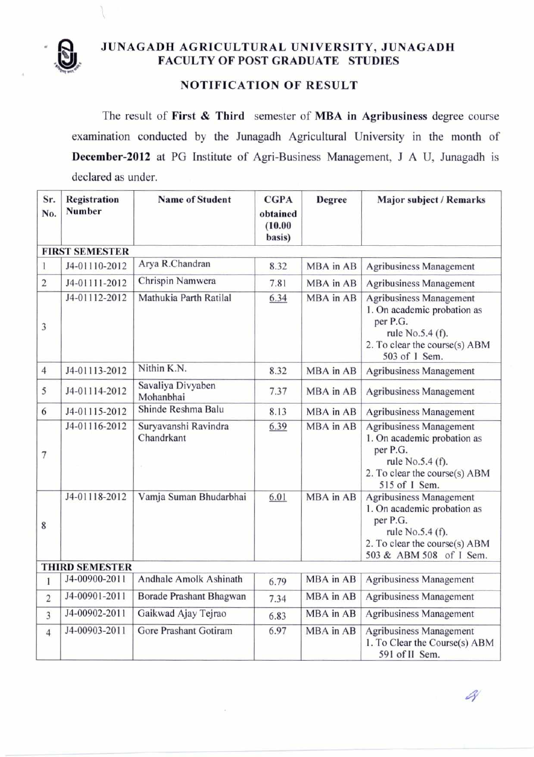

## **ra, JUNAGADH AGRICULTURAL UNIVERSITY, JUNAGADH FACULTY OF POST GRADUATE STUDIES**

## **NOTIFICATION OF RESULT**

The result of **First & Third** semester of **MBA in Agribusiness** degree course examination conducted by the Junagadh Agricultural University in the month of **December-2012** at PG Institute of Agri-Business Management, J A U, Junagadh is declared as under.

| Sr.<br>No.     | Registration<br>Number | <b>Name of Student</b>             | <b>CGPA</b><br>obtained<br>(10.00)<br>basis) | Degree    | Major subject / Remarks                                                                                                                            |
|----------------|------------------------|------------------------------------|----------------------------------------------|-----------|----------------------------------------------------------------------------------------------------------------------------------------------------|
|                | <b>FIRST SEMESTER</b>  |                                    |                                              |           |                                                                                                                                                    |
| 1              | J4-01110-2012          | Arya R.Chandran                    | 8.32                                         | MBA in AB | <b>Agribusiness Management</b>                                                                                                                     |
| $\overline{2}$ | J4-01111-2012          | Chrispin Namwera                   | 7.81                                         | MBA in AB | <b>Agribusiness Management</b>                                                                                                                     |
| 3              | J4-01112-2012          | Mathukia Parth Ratilal             | 6.34                                         | MBA in AB | <b>Agribusiness Management</b><br>1. On academic probation as<br>per P.G.<br>rule No.5.4 (f).<br>2. To clear the course(s) ABM<br>503 of 1 Sem.    |
| $\overline{4}$ | J4-01113-2012          | Nithin K.N.                        | 8.32                                         | MBA in AB | Agribusiness Management                                                                                                                            |
| 5              | J4-01114-2012          | Savaliya Divyaben<br>Mohanbhai     | 7.37                                         | MBA in AB | <b>Agribusiness Management</b>                                                                                                                     |
| 6              | J4-01115-2012          | Shinde Reshma Balu                 | 8.13                                         | MBA in AB | <b>Agribusiness Management</b>                                                                                                                     |
| 7              | J4-01116-2012          | Suryavanshi Ravindra<br>Chandrkant | 6.39                                         | MBA in AB | Agribusiness Management<br>1. On academic probation as<br>per P.G.<br>rule No.5.4 (f).<br>2. To clear the course(s) ABM<br>515 of 1 Sem.           |
| 8              | J4-01118-2012          | Vamja Suman Bhudarbhai             | 6.01                                         | MBA in AB | Agribusiness Management<br>1. On academic probation as<br>per P.G.<br>rule No.5.4 (f).<br>2. To clear the course(s) ABM<br>503 & ABM 508 of I Sem. |
|                | <b>THIRD SEMESTER</b>  |                                    |                                              |           |                                                                                                                                                    |
| 1              | J4-00900-2011          | Andhale Amolk Ashinath             | 6.79                                         | MBA in AB | <b>Agribusiness Management</b>                                                                                                                     |
| $\overline{2}$ | J4-00901-2011          | Borade Prashant Bhagwan            | 7.34                                         | MBA in AB | <b>Agribusiness Management</b>                                                                                                                     |
| 3              | J4-00902-2011          | Gaikwad Ajay Tejrao                | 6.83                                         | MBA in AB | <b>Agribusiness Management</b>                                                                                                                     |
| $\overline{4}$ | J4-00903-2011          | Gore Prashant Gotiram              | 6.97                                         | MBA in AB | Agribusiness Management<br>1. To Clear the Course(s) ABM<br>591 of II Sem.                                                                         |

A)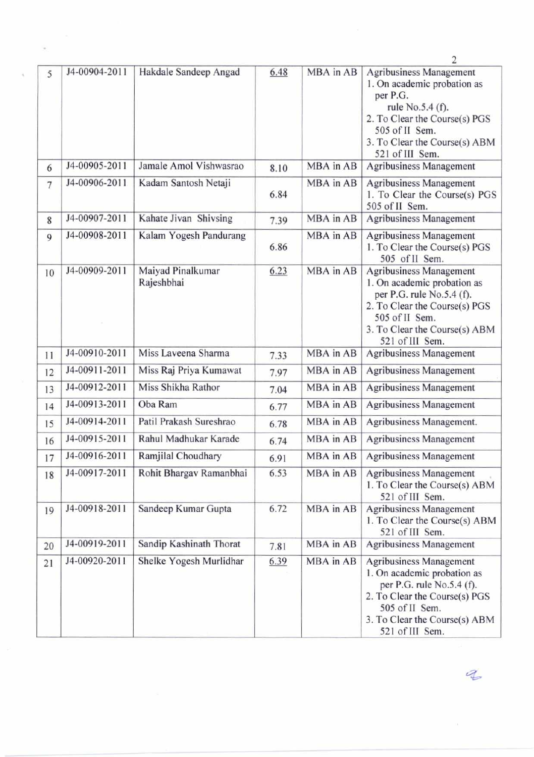|                |               |                                 |      |           | 2                                                                                                                                                                                                    |
|----------------|---------------|---------------------------------|------|-----------|------------------------------------------------------------------------------------------------------------------------------------------------------------------------------------------------------|
| 5              | J4-00904-2011 | Hakdale Sandeep Angad           | 6.48 | MBA in AB | <b>Agribusiness Management</b><br>1. On academic probation as<br>per P.G.<br>rule No.5.4 (f).<br>2. To Clear the Course(s) PGS<br>505 of II Sem.<br>3. To Clear the Course(s) ABM<br>521 of III Sem. |
| 6              | J4-00905-2011 | Jamale Amol Vishwasrao          | 8.10 | MBA in AB | <b>Agribusiness Management</b>                                                                                                                                                                       |
| $\overline{7}$ | J4-00906-2011 | Kadam Santosh Netaji            | 6.84 | MBA in AB | Agribusiness Management<br>1. To Clear the Course(s) PGS<br>505 of II Sem.                                                                                                                           |
| 8              | J4-00907-2011 | Kahate Jivan Shivsing           | 7.39 | MBA in AB | Agribusiness Management                                                                                                                                                                              |
| 9              | J4-00908-2011 | Kalam Yogesh Pandurang          | 6.86 | MBA in AB | <b>Agribusiness Management</b><br>1. To Clear the Course(s) PGS<br>505 of II Sem.                                                                                                                    |
| 10             | J4-00909-2011 | Maiyad Pinalkumar<br>Rajeshbhai | 6.23 | MBA in AB | Agribusiness Management<br>1. On academic probation as<br>per P.G. rule No.5.4 (f).<br>2. To Clear the Course(s) PGS<br>505 of II Sem.<br>3. To Clear the Course(s) ABM<br>521 of III Sem.           |
| 11             | J4-00910-2011 | Miss Laveena Sharma             | 7.33 | MBA in AB | Agribusiness Management                                                                                                                                                                              |
| 12             | J4-00911-2011 | Miss Raj Priya Kumawat          | 7.97 | MBA in AB | Agribusiness Management                                                                                                                                                                              |
| 13             | J4-00912-2011 | Miss Shikha Rathor              | 7.04 | MBA in AB | <b>Agribusiness Management</b>                                                                                                                                                                       |
| 14             | J4-00913-2011 | Oba Ram                         | 6.77 | MBA in AB | Agribusiness Management                                                                                                                                                                              |
| 15             | J4-00914-2011 | Patil Prakash Sureshrao         | 6.78 | MBA in AB | Agribusiness Management.                                                                                                                                                                             |
| 16             | J4-00915-2011 | Rahul Madhukar Karade           | 6.74 | MBA in AB | <b>Agribusiness Management</b>                                                                                                                                                                       |
| 17             | J4-00916-2011 | Ramjilal Choudhary              | 6.91 | MBA in AB | <b>Agribusiness Management</b>                                                                                                                                                                       |
| 18             | J4-00917-2011 | Rohit Bhargav Ramanbhai         | 6.53 | MBA in AB | <b>Agribusiness Management</b><br>1. To Clear the Course(s) ABM<br>521 of III Sem.                                                                                                                   |
| 19             | J4-00918-2011 | Sandeep Kumar Gupta             | 6.72 | MBA in AB | <b>Agribusiness Management</b><br>1. To Clear the Course(s) ABM<br>521 of III Sem.                                                                                                                   |
| 20             | J4-00919-2011 | Sandip Kashinath Thorat         | 7.81 | MBA in AB | <b>Agribusiness Management</b>                                                                                                                                                                       |
| 21             | J4-00920-2011 | Shelke Yogesh Murlidhar         | 6.39 | MBA in AB | <b>Agribusiness Management</b><br>1. On academic probation as<br>per P.G. rule No.5.4 (f).<br>2. To Clear the Course(s) PGS<br>505 of II Sem.<br>3. To Clear the Course(s) ABM<br>521 of III Sem.    |

 $\frac{1}{2}$ 

 $\mathcal{Z}$ 

 $\hat{\theta}$